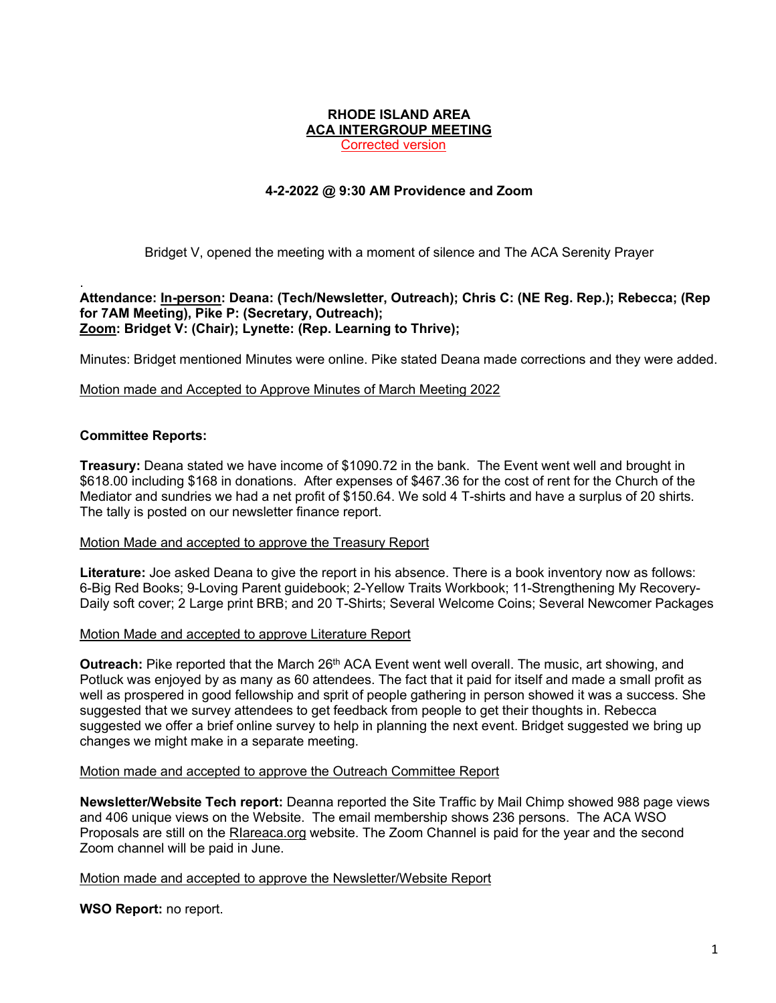#### **RHODE ISLAND AREA ACA INTERGROUP MEETING**

Corrected version

# **4-2-2022 @ 9:30 AM Providence and Zoom**

Bridget V, opened the meeting with a moment of silence and The ACA Serenity Prayer

#### . **Attendance: In-person: Deana: (Tech/Newsletter, Outreach); Chris C: (NE Reg. Rep.); Rebecca; (Rep for 7AM Meeting), Pike P: (Secretary, Outreach); Zoom: Bridget V: (Chair); Lynette: (Rep. Learning to Thrive);**

Minutes: Bridget mentioned Minutes were online. Pike stated Deana made corrections and they were added.

# Motion made and Accepted to Approve Minutes of March Meeting 2022

# **Committee Reports:**

**Treasury:** Deana stated we have income of \$1090.72 in the bank. The Event went well and brought in \$618.00 including \$168 in donations. After expenses of \$467.36 for the cost of rent for the Church of the Mediator and sundries we had a net profit of \$150.64. We sold 4 T-shirts and have a surplus of 20 shirts. The tally is posted on our newsletter finance report.

# Motion Made and accepted to approve the Treasury Report

**Literature:** Joe asked Deana to give the report in his absence. There is a book inventory now as follows: 6-Big Red Books; 9-Loving Parent guidebook; 2-Yellow Traits Workbook; 11-Strengthening My Recovery-Daily soft cover; 2 Large print BRB; and 20 T-Shirts; Several Welcome Coins; Several Newcomer Packages

# Motion Made and accepted to approve Literature Report

**Outreach:** Pike reported that the March 26<sup>th</sup> ACA Event went well overall. The music, art showing, and Potluck was enjoyed by as many as 60 attendees. The fact that it paid for itself and made a small profit as well as prospered in good fellowship and sprit of people gathering in person showed it was a success. She suggested that we survey attendees to get feedback from people to get their thoughts in. Rebecca suggested we offer a brief online survey to help in planning the next event. Bridget suggested we bring up changes we might make in a separate meeting.

# Motion made and accepted to approve the Outreach Committee Report

**Newsletter/Website Tech report:** Deanna reported the Site Traffic by Mail Chimp showed 988 page views and 406 unique views on the Website. The email membership shows 236 persons. The ACA WSO Proposals are still on the RIareaca.org website. The Zoom Channel is paid for the year and the second Zoom channel will be paid in June.

# Motion made and accepted to approve the Newsletter/Website Report

**WSO Report:** no report.